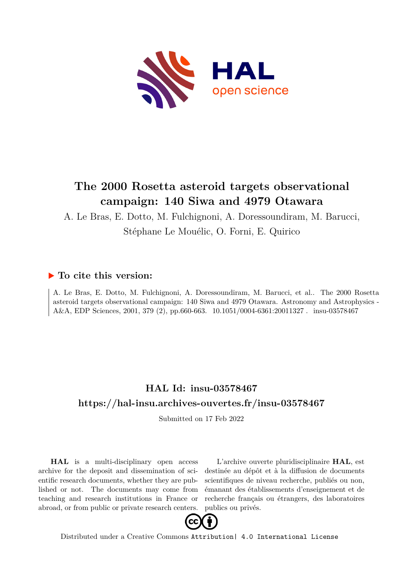

# **The 2000 Rosetta asteroid targets observational campaign: 140 Siwa and 4979 Otawara**

A. Le Bras, E. Dotto, M. Fulchignoni, A. Doressoundiram, M. Barucci,

Stéphane Le Mouélic, O. Forni, E. Quirico

## **To cite this version:**

A. Le Bras, E. Dotto, M. Fulchignoni, A. Doressoundiram, M. Barucci, et al.. The 2000 Rosetta asteroid targets observational campaign: 140 Siwa and 4979 Otawara. Astronomy and Astrophysics - A&A, EDP Sciences, 2001, 379 (2), pp.660-663.  $10.1051/0004-6361:20011327$ . insu-03578467

## **HAL Id: insu-03578467 <https://hal-insu.archives-ouvertes.fr/insu-03578467>**

Submitted on 17 Feb 2022

**HAL** is a multi-disciplinary open access archive for the deposit and dissemination of scientific research documents, whether they are published or not. The documents may come from teaching and research institutions in France or abroad, or from public or private research centers.

L'archive ouverte pluridisciplinaire **HAL**, est destinée au dépôt et à la diffusion de documents scientifiques de niveau recherche, publiés ou non, émanant des établissements d'enseignement et de recherche français ou étrangers, des laboratoires publics ou privés.



Distributed under a Creative Commons [Attribution| 4.0 International License](http://creativecommons.org/licenses/by/4.0/)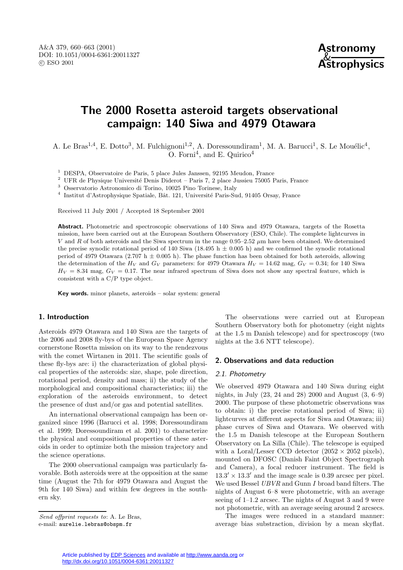## **The 2000 Rosetta asteroid targets observational campaign: 140 Siwa and 4979 Otawara**

A. Le Bras<sup>1,4</sup>, E. Dotto<sup>3</sup>, M. Fulchignoni<sup>1,2</sup>, A. Doressoundiram<sup>1</sup>, M. A. Barucci<sup>1</sup>, S. Le Mouélic<sup>4</sup>,  $\rm O.$  Forni<sup>4</sup>, and E. Quirico<sup>4</sup>

 $1$  DESPA, Observatoire de Paris, 5 place Jules Janssen, 92195 Meudon, France

<sup>2</sup> UFR de Physique Université Denis Diderot – Paris 7, 2 place Jussieu 75005 Paris, France

<sup>3</sup> Osservatorio Astronomico di Torino, 10025 Pino Torinese, Italy

<sup>4</sup> Institut d'Astrophysique Spatiale, Bât. 121, Université Paris-Sud, 91405 Orsay, France

Received 11 July 2001 / Accepted 18 September 2001

**Abstract.** Photometric and spectroscopic observations of 140 Siwa and 4979 Otawara, targets of the Rosetta mission, have been carried out at the European Southern Observatory (ESO, Chile). The complete lightcurves in V and R of both asteroids and the Siwa spectrum in the range  $0.95-2.52 \mu m$  have been obtained. We determined the precise synodic rotational period of 140 Siwa (18.495 h  $\pm$  0.005 h) and we confirmed the synodic rotational period of 4979 Otawara (2.707 h  $\pm$  0.005 h). The phase function has been obtained for both asteroids, allowing the determination of the H<sub>V</sub> and  $G_V$  parameters: for 4979 Otawara H<sub>V</sub> = 14.62 mag,  $G_V = 0.34$ ; for 140 Siwa  $H_V = 8.34$  mag,  $G_V = 0.17$ . The near infrared spectrum of Siwa does not show any spectral feature, which is consistent with a C/P type object.

**Key words.** minor planets, asteroids – solar system: general

#### **1. Introduction**

Asteroids 4979 Otawara and 140 Siwa are the targets of the 2006 and 2008 fly-bys of the European Space Agency cornerstone Rosetta mission on its way to the rendezvous with the comet Wirtanen in 2011. The scientific goals of these fly-bys are: i) the characterization of global physical properties of the asteroids: size, shape, pole direction, rotational period, density and mass; ii) the study of the morphological and compositional characteristics; iii) the exploration of the asteroids environment, to detect the presence of dust and/or gas and potential satellites.

An international observational campaign has been organized since 1996 (Barucci et al. 1998; Doressoundiram et al. 1999; Doressoundiram et al. 2001) to characterize the physical and compositional properties of these asteroids in order to optimize both the mission trajectory and the science operations.

The 2000 observational campaign was particularly favorable. Both asteroids were at the opposition at the same time (August the 7th for 4979 Otawara and August the 9th for 140 Siwa) and within few degrees in the southern sky.

Send offprint requests to: A. Le Bras, e-mail: aurelie.lebras@obspm.fr

The observations were carried out at European Southern Observatory both for photometry (eight nights at the 1.5 m Danish telescope) and for spectroscopy (two nights at the 3.6 NTT telescope).

### **2. Observations and data reduction**

#### 2.1. Photometry

We observed 4979 Otawara and 140 Siwa during eight nights, in July (23, 24 and 28) 2000 and August (3, 6–9) 2000. The purpose of these photometric observations was to obtain: i) the precise rotational period of Siwa; ii) lightcurves at different aspects for Siwa and Otawara; iii) phase curves of Siwa and Otawara. We observed with the 1.5 m Danish telescope at the European Southern Observatory on La Silla (Chile). The telescope is equiped with a Loral/Lesser CCD detector  $(2052 \times 2052 \text{ pixels})$ , mounted on DFOSC (Danish Faint Object Spectrograph and Camera), a focal reducer instrument. The field is  $13.3' \times 13.3'$  and the image scale is 0.39 arcsec per pixel. We used Bessel  $UBVR$  and Gunn I broad band filters. The nights of August 6–8 were photometric, with an average seeing of 1–1.2 arcsec. The nights of August 3 and 9 were not photometric, with an average seeing around 2 arcsecs.

The images were reduced in a standard manner: average bias substraction, division by a mean skyflat.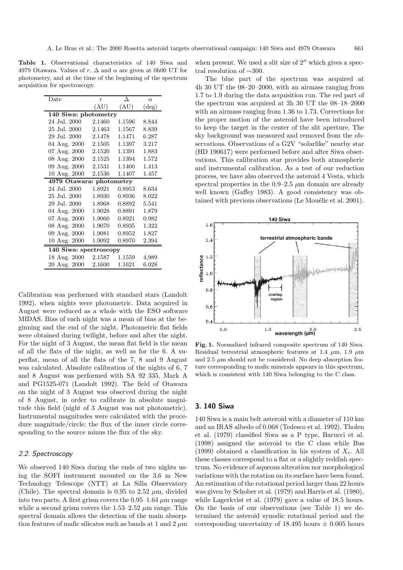**Table 1.** Observational characteristics of 140 Siwa and 4979 Otawara. Values of r,  $\Delta$  and  $\alpha$  are given at 0h00 UT for photometry, and at the time of the beginning of the spectrum acquisition for spectroscopy.

| Date                     | $\overline{r}$ | Л      | $\alpha$       |
|--------------------------|----------------|--------|----------------|
|                          | (AU)           | (AU)   | $(\text{deg})$ |
| 140 Siwa: photometry     |                |        |                |
| 24 Jul. 2000             | 2.1460         | 1.1596 | 8.844          |
| 25 Jul. 2000             | 2.1463         | 1.1567 | 8.839          |
| 29 Jul. 2000             | 2.1478         | 1.1471 | 6.287          |
| 04 Aug. 2000             | 2.1505         | 1.1397 | 3.217          |
| 07 Aug. 2000             | 2.1520         | 1.1391 | 1.883          |
| 08 Aug. 2000             | 2.1525         | 1.1394 | 1.572          |
| 09 Aug. 2000             | 2.1531         | 1.1400 | 1.413          |
| 10 Aug. 2000             | 2.1536         | 1.1407 | 1.457          |
| 4979 Otawara: photometry |                |        |                |
| 24 Jul. 2000             | 1.8921         | 0.8953 | 8.634          |
| 25 Jul. 2000             | 1.8930         | 0.8936 | 8.022          |
| 29 Jul. 2000             | 1.8968         | 0.8892 | 5.541          |
| 04 Aug. 2000             | 1.9028         | 0.8891 | 1.879          |
| 07 Aug. 2000             | 1.9060         | 0.8921 | 0.982          |
| 08 Aug. 2000             | 1.9070         | 0.8935 | 1.322          |
| 09 Aug. 2000             | 1.9081         | 0.8952 | 1.827          |
| 10 Aug. 2000             | 1.9092         | 0.8970 | 2.394          |
| 140 Siwa: spectroscopy   |                |        |                |
| 18 Aug. 2000             | 2.1587         | 1.1559 | 4,989          |
| 20 Aug. 2000             | 2.1600         | 1.1621 | 6.028          |

Calibration was performed with standard stars (Landolt 1992), when nights were photometric. Data acquired in August were reduced as a whole with the ESO software MIDAS. Bias of each night was a mean of bias at the beginning and the end of the night. Photometric flat fields were obtained during twilight, before and after the night. For the night of 3 August, the mean flat field is the mean of all the flats of the night, as well as for the 6. A superflat, mean of all the flats of the 7, 8 and 9 August was calculated. Absolute calibration of the nights of 6, 7 and 8 August was performed with SA 92 335, Mark A and PG1525-071 (Landolt 1992). The field of Otawara on the night of 3 August was observed during the night of 8 August, in order to calibrate in absolute magnitude this field (night of 3 August was not photometric). Instrumental magnitudes were calculated with the procedure magnitude/circle: the flux of the inner circle corresponding to the source minus the flux of the sky.

#### 2.2. Spectroscopy

We observed 140 Siwa during the ends of two nights using the SOFI instrument mounted on the 3.6 m New Technology Telescope (NTT) at La Silla Observatory (Chile). The spectral domain is 0.95 to 2.52  $\mu$ m, divided into two parts. A first grism covers the  $0.95-1.64 \mu m$  range while a second grism covers the  $1.53-2.52 \mu m$  range. This spectral domain allows the detection of the main absorption features of mafic silicates such as bands at 1 and 2  $\mu$ m when present. We used a slit size of  $2^{\prime\prime}$  which gives a spectral resolution of ∼300.

The blue part of the spectrum was acquired at 4h 30 UT the 08–20–2000, with an airmass ranging from 1.7 to 1.9 during the data acquisition run. The red part of the spectrum was acquired at 3h 30 UT the 08–18–2000 with an airmass ranging from 1.36 to 1.73. Corrections for the proper motion of the asteroid have been introduced to keep the target in the center of the slit aperture. The sky background was measured and removed from the observations. Observations of a G2V "solarlike" nearby star (HD 190617) were performed before and after Siwa observations. This calibration star provides both atmospheric and instrumental calibration. As a test of our reduction process, we have also observed the asteroid 4 Vesta, which spectral properties in the  $0.9-2.5 \mu m$  domain are already well known (Gaffey 1983). A good consistency was obtained with previous observations (Le Mouélic et al. 2001).



**Fig. 1.** Normalized infrared composite spectrum of 140 Siwa. Residual terrestrial atmospheric features at 1.4  $\mu$ m, 1.9  $\mu$ m and  $2.5 \mu m$  should not be considered. No deep absorption feature corresponding to mafic minerals appears in this spectrum, which is consistent with 140 Siwa belonging to the C class.

### **3. 140 Siwa**

140 Siwa is a main belt asteroid with a diameter of 110 km and an IRAS albedo of 0.068 (Tedesco et al. 1992). Tholen et al. (1979) classified Siwa as a P type, Barucci et al. (1998) assigned the asteroid to the C class while Bus (1999) obtained a classification in his system of  $X_c$ . All these classes correspond to a flat or a slightly reddish spectrum. No evidence of aqueous alteration nor morphological variations with the rotation on its surface have been found. An estimation of the rotational period larger than 22 hours was given by Schober et al. (1979) and Harris et al. (1980), while Lagerkvist et al. (1979) gave a value of 18.5 hours. On the basis of our observations (see Table 1) we determined the asteroid synodic rotational period and the corresponding uncertainty of 18.495 hours  $\pm$  0.005 hours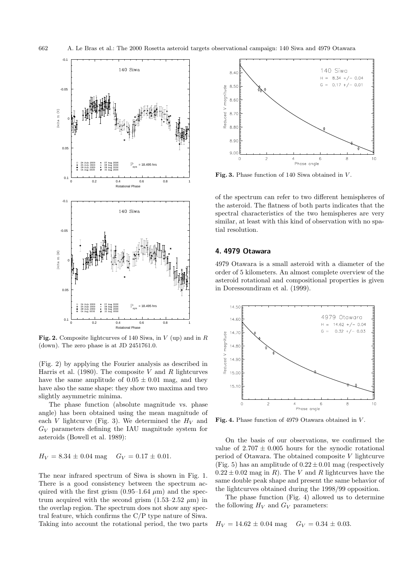

**Fig. 2.** Composite lightcurves of 140 Siwa, in <sup>V</sup> (up) and in <sup>R</sup> (down). The zero phase is at JD 2451761.0.

(Fig. 2) by applying the Fourier analysis as described in Harris et al. (1980). The composite V and R lightcurves have the same amplitude of  $0.05 \pm 0.01$  mag, and they have also the same shape: they show two maxima and two slightly asymmetric minima.

The phase function (absolute magnitude vs. phase angle) has been obtained using the mean magnitude of each V lightcurve (Fig. 3). We determined the  $H_V$  and  $G_V$  parameters defining the IAU magnitude system for asteroids (Bowell et al. 1989):

 $H_V = 8.34 \pm 0.04$  mag  $G_V = 0.17 \pm 0.01$ .

The near infrared spectrum of Siwa is shown in Fig. 1. There is a good consistency between the spectrum acquired with the first grism  $(0.95-1.64 \mu m)$  and the spectrum acquired with the second grism  $(1.53-2.52 \mu m)$  in the overlap region. The spectrum does not show any spectral feature, which confirms the C/P type nature of Siwa. Taking into account the rotational period, the two parts



Fig. 3. Phase function of 140 Siwa obtained in V.

of the spectrum can refer to two different hemispheres of the asteroid. The flatness of both parts indicates that the spectral characteristics of the two hemispheres are very similar, at least with this kind of observation with no spatial resolution.

### **4. 4979 Otawara**

4979 Otawara is a small asteroid with a diameter of the order of 5 kilometers. An almost complete overview of the asteroid rotational and compositional properties is given in Doressoundiram et al. (1999).



Fig. 4. Phase function of 4979 Otawara obtained in V.

On the basis of our observations, we confirmed the value of  $2.707 \pm 0.005$  hours for the synodic rotational period of Otawara. The obtained composite  $V$  lightcurve (Fig. 5) has an amplitude of  $0.22 \pm 0.01$  mag (respectively  $0.22 \pm 0.02$  mag in R). The V and R lightcurves have the same double peak shape and present the same behavior of the lightcurves obtained during the 1998/99 opposition.

The phase function (Fig. 4) allowed us to determine the following  $H_V$  and  $G_V$  parameters:

 $H_V = 14.62 \pm 0.04$  mag  $G_V = 0.34 \pm 0.03$ .